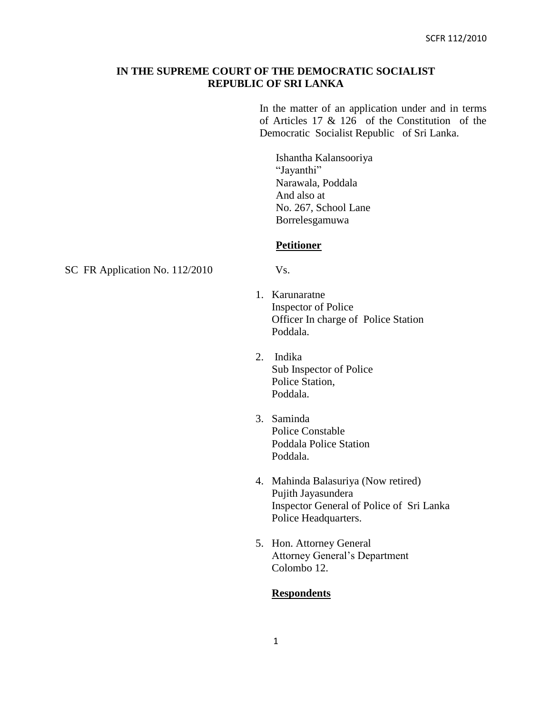## **IN THE SUPREME COURT OF THE DEMOCRATIC SOCIALIST REPUBLIC OF SRI LANKA**

In the matter of an application under and in terms of Articles 17 & 126 of the Constitution of the Democratic Socialist Republic of Sri Lanka.

Ishantha Kalansooriya "Jayanthi" Narawala, Poddala And also at No. 267, School Lane Borrelesgamuwa

#### **Petitioner**

SC FR Application No. 112/2010 Vs.

- 1. Karunaratne Inspector of Police Officer In charge of Police Station Poddala.
- 2. Indika Sub Inspector of Police Police Station, Poddala.
- 3. Saminda Police Constable Poddala Police Station Poddala.
- 4. Mahinda Balasuriya (Now retired) Pujith Jayasundera Inspector General of Police of Sri Lanka Police Headquarters.
- 5. Hon. Attorney General Attorney General's Department Colombo 12.

### **Respondents**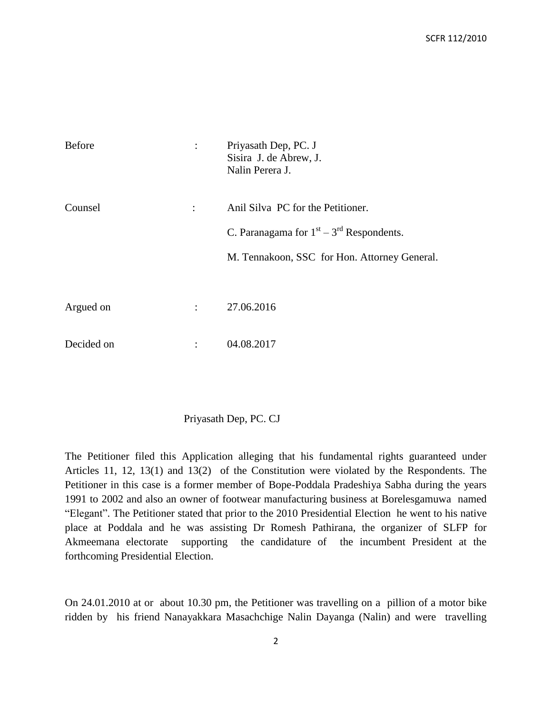| <b>Before</b> | $\vdots$             | Priyasath Dep, PC. J<br>Sisira J. de Abrew, J.<br>Nalin Perera J. |
|---------------|----------------------|-------------------------------------------------------------------|
| Counsel       | ÷                    | Anil Silva PC for the Petitioner.                                 |
|               |                      | C. Paranagama for $1st - 3rd$ Respondents.                        |
|               |                      | M. Tennakoon, SSC for Hon. Attorney General.                      |
|               |                      |                                                                   |
| Argued on     | $\ddot{\phantom{a}}$ | 27.06.2016                                                        |
| Decided on    |                      | 04.08.2017                                                        |

#### Priyasath Dep, PC. CJ

The Petitioner filed this Application alleging that his fundamental rights guaranteed under Articles 11, 12, 13(1) and 13(2) of the Constitution were violated by the Respondents. The Petitioner in this case is a former member of Bope-Poddala Pradeshiya Sabha during the years 1991 to 2002 and also an owner of footwear manufacturing business at Borelesgamuwa named "Elegant". The Petitioner stated that prior to the 2010 Presidential Election he went to his native place at Poddala and he was assisting Dr Romesh Pathirana, the organizer of SLFP for Akmeemana electorate supporting the candidature of the incumbent President at the forthcoming Presidential Election.

On 24.01.2010 at or about 10.30 pm, the Petitioner was travelling on a pillion of a motor bike ridden by his friend Nanayakkara Masachchige Nalin Dayanga (Nalin) and were travelling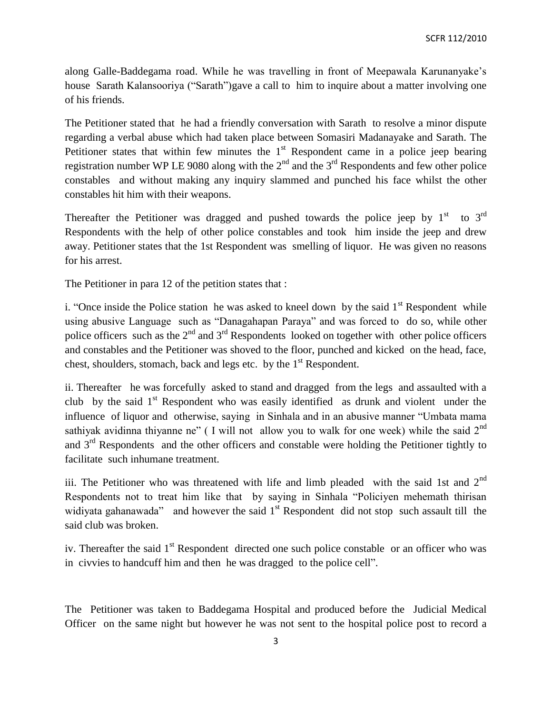along Galle-Baddegama road. While he was travelling in front of Meepawala Karunanyake's house Sarath Kalansooriya ("Sarath")gave a call to him to inquire about a matter involving one of his friends.

The Petitioner stated that he had a friendly conversation with Sarath to resolve a minor dispute regarding a verbal abuse which had taken place between Somasiri Madanayake and Sarath. The Petitioner states that within few minutes the  $1<sup>st</sup>$  Respondent came in a police jeep bearing registration number WP LE 9080 along with the  $2<sup>nd</sup>$  and the  $3<sup>rd</sup>$  Respondents and few other police constables and without making any inquiry slammed and punched his face whilst the other constables hit him with their weapons.

Thereafter the Petitioner was dragged and pushed towards the police jeep by  $1<sup>st</sup>$  to  $3<sup>rd</sup>$ Respondents with the help of other police constables and took him inside the jeep and drew away. Petitioner states that the 1st Respondent was smelling of liquor. He was given no reasons for his arrest.

The Petitioner in para 12 of the petition states that :

i. "Once inside the Police station he was asked to kneel down by the said  $1<sup>st</sup>$  Respondent while using abusive Language such as "Danagahapan Paraya" and was forced to do so, while other police officers such as the  $2<sup>nd</sup>$  and  $3<sup>rd</sup>$  Respondents looked on together with other police officers and constables and the Petitioner was shoved to the floor, punched and kicked on the head, face, chest, shoulders, stomach, back and legs etc. by the  $1<sup>st</sup>$  Respondent.

ii. Thereafter he was forcefully asked to stand and dragged from the legs and assaulted with a club by the said  $1<sup>st</sup>$  Respondent who was easily identified as drunk and violent under the influence of liquor and otherwise, saying in Sinhala and in an abusive manner "Umbata mama sathiyak avidinna thiyanne ne" (I will not allow you to walk for one week) while the said  $2<sup>nd</sup>$ and  $3<sup>rd</sup>$  Respondents and the other officers and constable were holding the Petitioner tightly to facilitate such inhumane treatment.

iii. The Petitioner who was threatened with life and limb pleaded with the said 1st and  $2<sup>nd</sup>$ Respondents not to treat him like that by saying in Sinhala "Policiyen mehemath thirisan widiyata gahanawada" and however the said  $1<sup>st</sup>$  Respondent did not stop such assault till the said club was broken.

iv. Thereafter the said 1<sup>st</sup> Respondent directed one such police constable or an officer who was in civvies to handcuff him and then he was dragged to the police cell".

The Petitioner was taken to Baddegama Hospital and produced before the Judicial Medical Officer on the same night but however he was not sent to the hospital police post to record a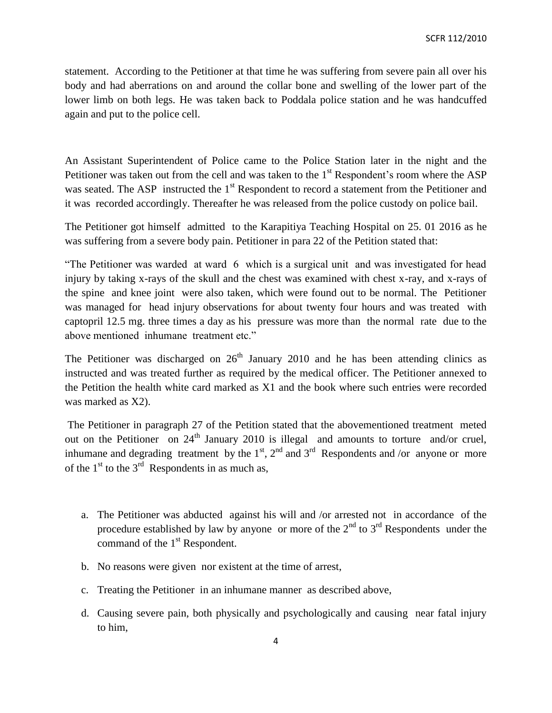statement. According to the Petitioner at that time he was suffering from severe pain all over his body and had aberrations on and around the collar bone and swelling of the lower part of the lower limb on both legs. He was taken back to Poddala police station and he was handcuffed again and put to the police cell.

An Assistant Superintendent of Police came to the Police Station later in the night and the Petitioner was taken out from the cell and was taken to the  $1<sup>st</sup>$  Respondent's room where the ASP was seated. The ASP instructed the 1<sup>st</sup> Respondent to record a statement from the Petitioner and it was recorded accordingly. Thereafter he was released from the police custody on police bail.

The Petitioner got himself admitted to the Karapitiya Teaching Hospital on 25. 01 2016 as he was suffering from a severe body pain. Petitioner in para 22 of the Petition stated that:

"The Petitioner was warded at ward 6 which is a surgical unit and was investigated for head injury by taking x-rays of the skull and the chest was examined with chest x-ray, and x-rays of the spine and knee joint were also taken, which were found out to be normal. The Petitioner was managed for head injury observations for about twenty four hours and was treated with captopril 12.5 mg. three times a day as his pressure was more than the normal rate due to the above mentioned inhumane treatment etc."

The Petitioner was discharged on  $26<sup>th</sup>$  January 2010 and he has been attending clinics as instructed and was treated further as required by the medical officer. The Petitioner annexed to the Petition the health white card marked as X1 and the book where such entries were recorded was marked as X2).

The Petitioner in paragraph 27 of the Petition stated that the abovementioned treatment meted out on the Petitioner on  $24<sup>th</sup>$  January 2010 is illegal and amounts to torture and/or cruel, inhumane and degrading treatment by the  $1<sup>st</sup>$ ,  $2<sup>nd</sup>$  and  $3<sup>rd</sup>$  Respondents and /or anyone or more of the  $1<sup>st</sup>$  to the  $3<sup>rd</sup>$  Respondents in as much as,

- a. The Petitioner was abducted against his will and /or arrested not in accordance of the procedure established by law by anyone or more of the  $2<sup>nd</sup>$  to  $3<sup>rd</sup>$  Respondents under the command of the 1<sup>st</sup> Respondent.
- b. No reasons were given nor existent at the time of arrest,
- c. Treating the Petitioner in an inhumane manner as described above,
- d. Causing severe pain, both physically and psychologically and causing near fatal injury to him,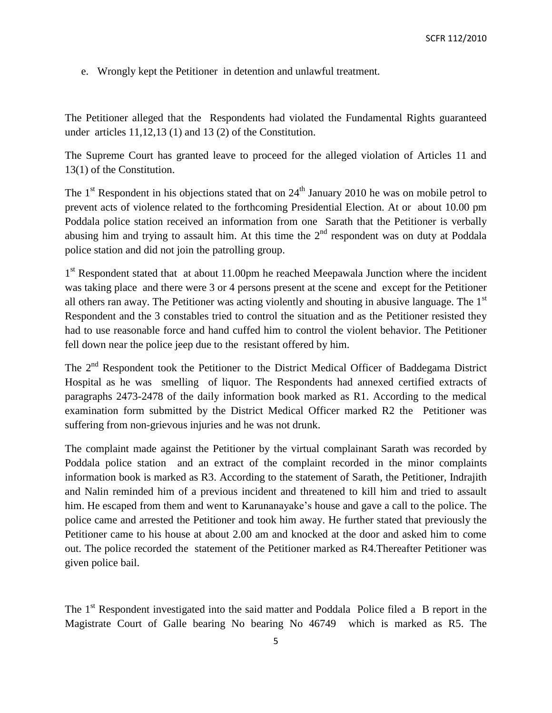e. Wrongly kept the Petitioner in detention and unlawful treatment.

The Petitioner alleged that the Respondents had violated the Fundamental Rights guaranteed under articles 11,12,13 (1) and 13 (2) of the Constitution.

The Supreme Court has granted leave to proceed for the alleged violation of Articles 11 and 13(1) of the Constitution.

The  $1<sup>st</sup>$  Respondent in his objections stated that on  $24<sup>th</sup>$  January 2010 he was on mobile petrol to prevent acts of violence related to the forthcoming Presidential Election. At or about 10.00 pm Poddala police station received an information from one Sarath that the Petitioner is verbally abusing him and trying to assault him. At this time the  $2<sup>nd</sup>$  respondent was on duty at Poddala police station and did not join the patrolling group.

1<sup>st</sup> Respondent stated that at about 11.00pm he reached Meepawala Junction where the incident was taking place and there were 3 or 4 persons present at the scene and except for the Petitioner all others ran away. The Petitioner was acting violently and shouting in abusive language. The 1<sup>st</sup> Respondent and the 3 constables tried to control the situation and as the Petitioner resisted they had to use reasonable force and hand cuffed him to control the violent behavior. The Petitioner fell down near the police jeep due to the resistant offered by him.

The 2<sup>nd</sup> Respondent took the Petitioner to the District Medical Officer of Baddegama District Hospital as he was smelling of liquor. The Respondents had annexed certified extracts of paragraphs 2473-2478 of the daily information book marked as R1. According to the medical examination form submitted by the District Medical Officer marked R2 the Petitioner was suffering from non-grievous injuries and he was not drunk.

The complaint made against the Petitioner by the virtual complainant Sarath was recorded by Poddala police station and an extract of the complaint recorded in the minor complaints information book is marked as R3. According to the statement of Sarath, the Petitioner, Indrajith and Nalin reminded him of a previous incident and threatened to kill him and tried to assault him. He escaped from them and went to Karunanayake's house and gave a call to the police. The police came and arrested the Petitioner and took him away. He further stated that previously the Petitioner came to his house at about 2.00 am and knocked at the door and asked him to come out. The police recorded the statement of the Petitioner marked as R4.Thereafter Petitioner was given police bail.

The 1<sup>st</sup> Respondent investigated into the said matter and Poddala Police filed a B report in the Magistrate Court of Galle bearing No bearing No 46749 which is marked as R5. The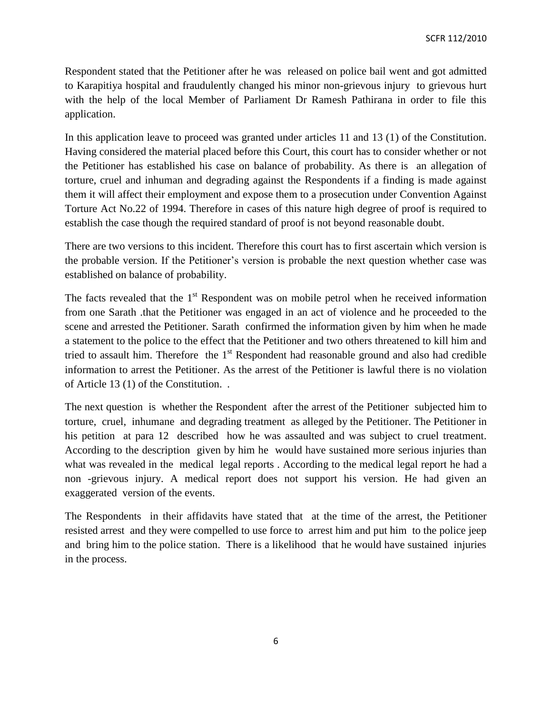Respondent stated that the Petitioner after he was released on police bail went and got admitted to Karapitiya hospital and fraudulently changed his minor non-grievous injury to grievous hurt with the help of the local Member of Parliament Dr Ramesh Pathirana in order to file this application.

In this application leave to proceed was granted under articles 11 and 13 (1) of the Constitution. Having considered the material placed before this Court, this court has to consider whether or not the Petitioner has established his case on balance of probability. As there is an allegation of torture, cruel and inhuman and degrading against the Respondents if a finding is made against them it will affect their employment and expose them to a prosecution under Convention Against Torture Act No.22 of 1994. Therefore in cases of this nature high degree of proof is required to establish the case though the required standard of proof is not beyond reasonable doubt.

There are two versions to this incident. Therefore this court has to first ascertain which version is the probable version. If the Petitioner's version is probable the next question whether case was established on balance of probability.

The facts revealed that the  $1<sup>st</sup>$  Respondent was on mobile petrol when he received information from one Sarath .that the Petitioner was engaged in an act of violence and he proceeded to the scene and arrested the Petitioner. Sarath confirmed the information given by him when he made a statement to the police to the effect that the Petitioner and two others threatened to kill him and tried to assault him. Therefore the  $1<sup>st</sup>$  Respondent had reasonable ground and also had credible information to arrest the Petitioner. As the arrest of the Petitioner is lawful there is no violation of Article 13 (1) of the Constitution. .

The next question is whether the Respondent after the arrest of the Petitioner subjected him to torture, cruel, inhumane and degrading treatment as alleged by the Petitioner. The Petitioner in his petition at para 12 described how he was assaulted and was subject to cruel treatment. According to the description given by him he would have sustained more serious injuries than what was revealed in the medical legal reports . According to the medical legal report he had a non -grievous injury. A medical report does not support his version. He had given an exaggerated version of the events.

The Respondents in their affidavits have stated that at the time of the arrest, the Petitioner resisted arrest and they were compelled to use force to arrest him and put him to the police jeep and bring him to the police station. There is a likelihood that he would have sustained injuries in the process.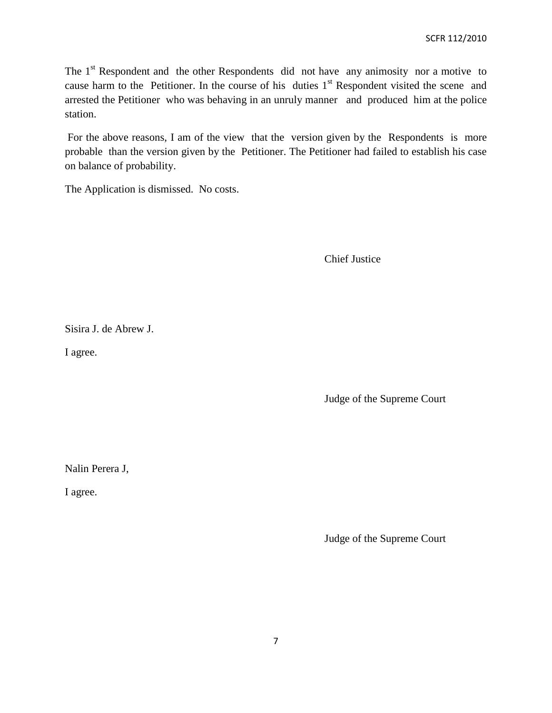The  $1<sup>st</sup>$  Respondent and the other Respondents did not have any animosity nor a motive to cause harm to the Petitioner. In the course of his duties  $1<sup>st</sup>$  Respondent visited the scene and arrested the Petitioner who was behaving in an unruly manner and produced him at the police station.

For the above reasons, I am of the view that the version given by the Respondents is more probable than the version given by the Petitioner. The Petitioner had failed to establish his case on balance of probability.

The Application is dismissed. No costs.

Chief Justice

Sisira J. de Abrew J.

I agree.

Judge of the Supreme Court

Nalin Perera J,

I agree.

Judge of the Supreme Court